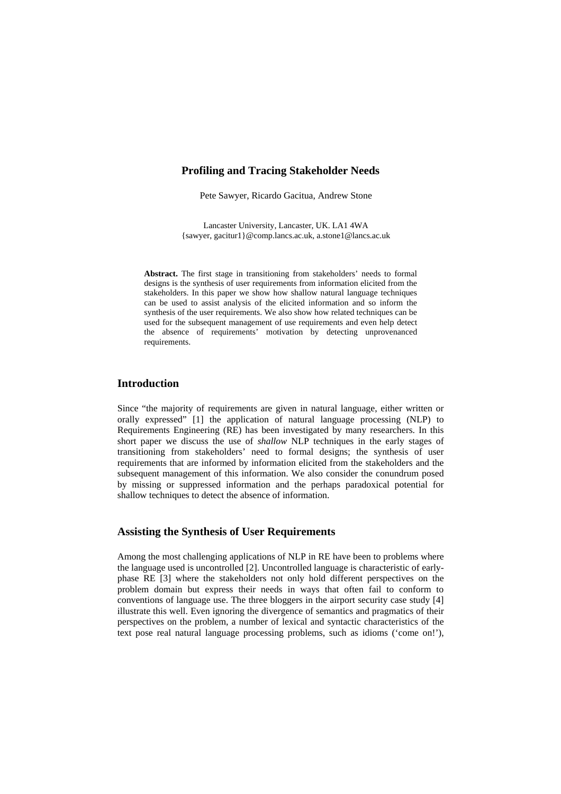# **Profiling and Tracing Stakeholder Needs**

Pete Sawyer, Ricardo Gacitua, Andrew Stone

Lancaster University, Lancaster, UK. LA1 4WA {sawyer, gacitur1}@comp.lancs.ac.uk, a.stone1@lancs.ac.uk

**Abstract.** The first stage in transitioning from stakeholders' needs to formal designs is the synthesis of user requirements from information elicited from the stakeholders. In this paper we show how shallow natural language techniques can be used to assist analysis of the elicited information and so inform the synthesis of the user requirements. We also show how related techniques can be used for the subsequent management of use requirements and even help detect the absence of requirements' motivation by detecting unprovenanced requirements.

### **Introduction**

Since "the majority of requirements are given in natural language, either written or orally expressed" [1] the application of natural language processing (NLP) to Requirements Engineering (RE) has been investigated by many researchers. In this short paper we discuss the use of *shallow* NLP techniques in the early stages of transitioning from stakeholders' need to formal designs; the synthesis of user requirements that are informed by information elicited from the stakeholders and the subsequent management of this information. We also consider the conundrum posed by missing or suppressed information and the perhaps paradoxical potential for shallow techniques to detect the absence of information.

# **Assisting the Synthesis of User Requirements**

Among the most challenging applications of NLP in RE have been to problems where the language used is uncontrolled [2]. Uncontrolled language is characteristic of earlyphase RE [3] where the stakeholders not only hold different perspectives on the problem domain but express their needs in ways that often fail to conform to conventions of language use. The three bloggers in the airport security case study [4] illustrate this well. Even ignoring the divergence of semantics and pragmatics of their perspectives on the problem, a number of lexical and syntactic characteristics of the text pose real natural language processing problems, such as idioms ('come on!'),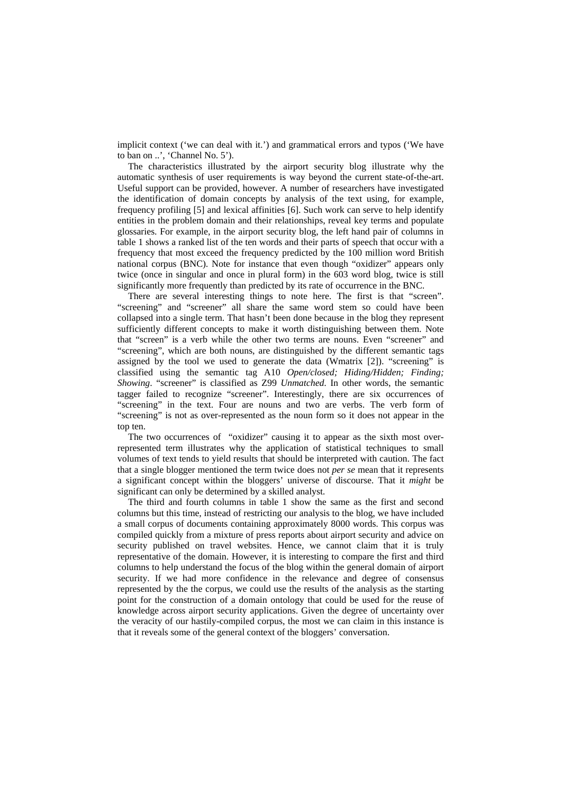implicit context ('we can deal with it.') and grammatical errors and typos ('We have to ban on ..', 'Channel No. 5').

The characteristics illustrated by the airport security blog illustrate why the automatic synthesis of user requirements is way beyond the current state-of-the-art. Useful support can be provided, however. A number of researchers have investigated the identification of domain concepts by analysis of the text using, for example, frequency profiling [5] and lexical affinities [6]. Such work can serve to help identify entities in the problem domain and their relationships, reveal key terms and populate glossaries. For example, in the airport security blog, the left hand pair of columns in table 1 shows a ranked list of the ten words and their parts of speech that occur with a frequency that most exceed the frequency predicted by the 100 million word British national corpus (BNC). Note for instance that even though "oxidizer" appears only twice (once in singular and once in plural form) in the 603 word blog, twice is still significantly more frequently than predicted by its rate of occurrence in the BNC.

There are several interesting things to note here. The first is that "screen". "screening" and "screener" all share the same word stem so could have been collapsed into a single term. That hasn't been done because in the blog they represent sufficiently different concepts to make it worth distinguishing between them. Note that "screen" is a verb while the other two terms are nouns. Even "screener" and "screening", which are both nouns, are distinguished by the different semantic tags assigned by the tool we used to generate the data (Wmatrix [2]). "screening" is classified using the semantic tag A10 *Open/closed; Hiding/Hidden; Finding; Showing*. "screener" is classified as Z99 *Unmatched*. In other words, the semantic tagger failed to recognize "screener". Interestingly, there are six occurrences of "screening" in the text. Four are nouns and two are verbs. The verb form of "screening" is not as over-represented as the noun form so it does not appear in the top ten.

The two occurrences of "oxidizer" causing it to appear as the sixth most overrepresented term illustrates why the application of statistical techniques to small volumes of text tends to yield results that should be interpreted with caution. The fact that a single blogger mentioned the term twice does not *per se* mean that it represents a significant concept within the bloggers' universe of discourse. That it *might* be significant can only be determined by a skilled analyst.

The third and fourth columns in table 1 show the same as the first and second columns but this time, instead of restricting our analysis to the blog, we have included a small corpus of documents containing approximately 8000 words. This corpus was compiled quickly from a mixture of press reports about airport security and advice on security published on travel websites. Hence, we cannot claim that it is truly representative of the domain. However, it is interesting to compare the first and third columns to help understand the focus of the blog within the general domain of airport security. If we had more confidence in the relevance and degree of consensus represented by the the corpus, we could use the results of the analysis as the starting point for the construction of a domain ontology that could be used for the reuse of knowledge across airport security applications. Given the degree of uncertainty over the veracity of our hastily-compiled corpus, the most we can claim in this instance is that it reveals some of the general context of the bloggers' conversation.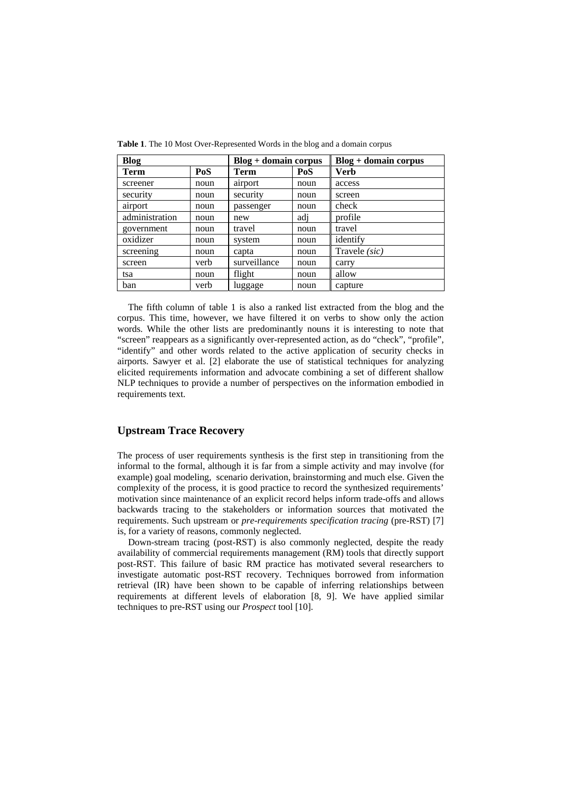| <b>Blog</b>    |      | $Blog + domain$ corpus |      | $B\log + \text{domain corpus}$ |
|----------------|------|------------------------|------|--------------------------------|
| <b>Term</b>    | PoS  | <b>Term</b>            | PoS  | Verb                           |
| screener       | noun | airport                | noun | access                         |
| security       | noun | security               | noun | screen                         |
| airport        | noun | passenger              | noun | check                          |
| administration | noun | new                    | adj  | profile                        |
| government     | noun | travel                 | noun | travel                         |
| oxidizer       | noun | system                 | noun | identify                       |
| screening      | noun | capta                  | noun | Travele <i>(sic)</i>           |
| screen         | verb | surveillance           | noun | carry                          |
| tsa            | noun | flight                 | noun | allow                          |
| ban            | verb | luggage                | noun | capture                        |

**Table 1**. The 10 Most Over-Represented Words in the blog and a domain corpus

The fifth column of table 1 is also a ranked list extracted from the blog and the corpus. This time, however, we have filtered it on verbs to show only the action words. While the other lists are predominantly nouns it is interesting to note that "screen" reappears as a significantly over-represented action, as do "check", "profile", "identify" and other words related to the active application of security checks in airports. Sawyer et al. [2] elaborate the use of statistical techniques for analyzing elicited requirements information and advocate combining a set of different shallow NLP techniques to provide a number of perspectives on the information embodied in requirements text.

#### **Upstream Trace Recovery**

The process of user requirements synthesis is the first step in transitioning from the informal to the formal, although it is far from a simple activity and may involve (for example) goal modeling, scenario derivation, brainstorming and much else. Given the complexity of the process, it is good practice to record the synthesized requirements' motivation since maintenance of an explicit record helps inform trade-offs and allows backwards tracing to the stakeholders or information sources that motivated the requirements. Such upstream or *pre-requirements specification tracing* (pre-RST) [7] is, for a variety of reasons, commonly neglected.

Down-stream tracing (post-RST) is also commonly neglected, despite the ready availability of commercial requirements management (RM) tools that directly support post-RST. This failure of basic RM practice has motivated several researchers to investigate automatic post-RST recovery. Techniques borrowed from information retrieval (IR) have been shown to be capable of inferring relationships between requirements at different levels of elaboration [8, 9]. We have applied similar techniques to pre-RST using our *Prospect* tool [10].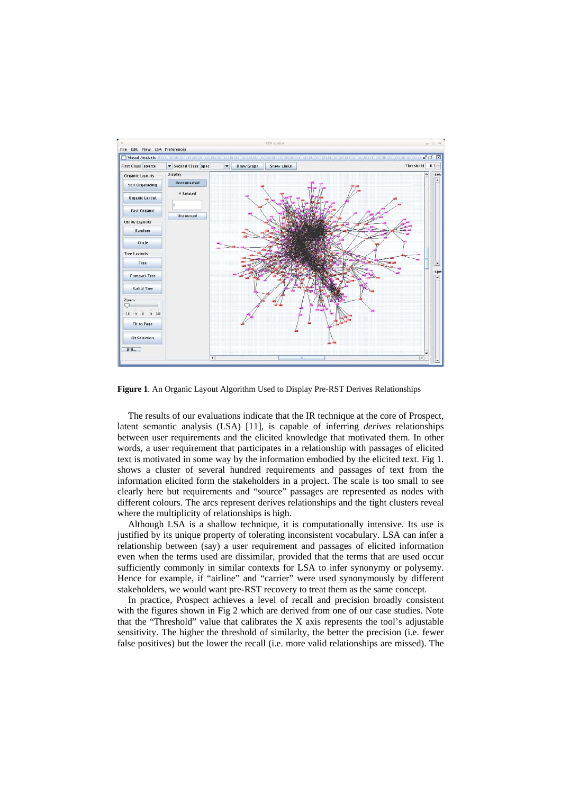

**Figure 1**. An Organic Layout Algorithm Used to Display Pre-RST Derives Relationships

The results of our evaluations indicate that the IR technique at the core of Prospect, latent semantic analysis (LSA) [11], is capable of inferring *derives* relationships between user requirements and the elicited knowledge that motivated them. In other words, a user requirement that participates in a relationship with passages of elicited text is motivated in some way by the information embodied by the elicited text. Fig 1. shows a cluster of several hundred requirements and passages of text from the information elicited form the stakeholders in a project. The scale is too small to see clearly here but requirements and "source" passages are represented as nodes with different colours. The arcs represent derives relationships and the tight clusters reveal where the multiplicity of relationships is high.

Although LSA is a shallow technique, it is computationally intensive. Its use is justified by its unique property of tolerating inconsistent vocabulary. LSA can infer a relationship between (say) a user requirement and passages of elicited information even when the terms used are dissimilar, provided that the terms that are used occur sufficiently commonly in similar contexts for LSA to infer synonymy or polysemy. Hence for example, if "airline" and "carrier" were used synonymously by different stakeholders, we would want pre-RST recovery to treat them as the same concept.

In practice, Prospect achieves a level of recall and precision broadly consistent with the figures shown in Fig 2 which are derived from one of our case studies. Note that the "Threshold" value that calibrates the X axis represents the tool's adjustable sensitivity. The higher the threshold of similarlty, the better the precision (i.e. fewer false positives) but the lower the recall (i.e. more valid relationships are missed). The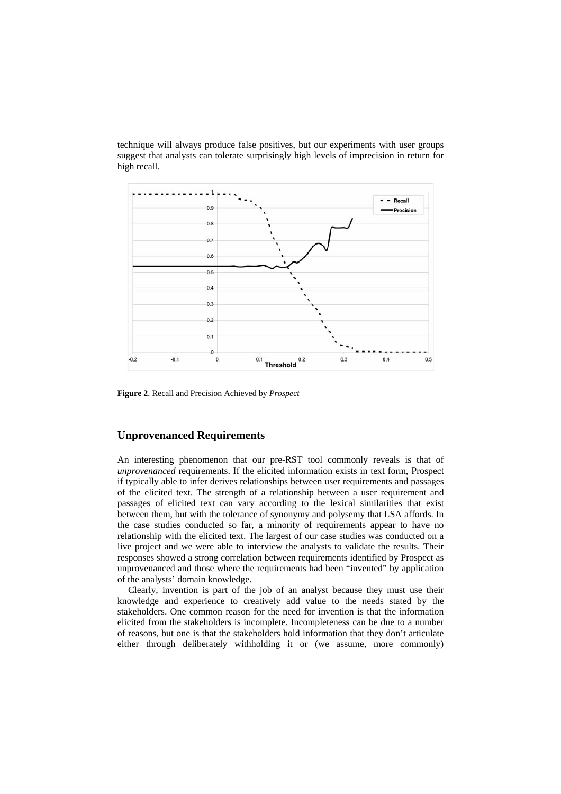technique will always produce false positives, but our experiments with user groups suggest that analysts can tolerate surprisingly high levels of imprecision in return for high recall.



**Figure 2**. Recall and Precision Achieved by *Prospect*

# **Unprovenanced Requirements**

An interesting phenomenon that our pre-RST tool commonly reveals is that of *unprovenanced* requirements. If the elicited information exists in text form, Prospect if typically able to infer derives relationships between user requirements and passages of the elicited text. The strength of a relationship between a user requirement and passages of elicited text can vary according to the lexical similarities that exist between them, but with the tolerance of synonymy and polysemy that LSA affords. In the case studies conducted so far, a minority of requirements appear to have no relationship with the elicited text. The largest of our case studies was conducted on a live project and we were able to interview the analysts to validate the results. Their responses showed a strong correlation between requirements identified by Prospect as unprovenanced and those where the requirements had been "invented" by application of the analysts' domain knowledge.

Clearly, invention is part of the job of an analyst because they must use their knowledge and experience to creatively add value to the needs stated by the stakeholders. One common reason for the need for invention is that the information elicited from the stakeholders is incomplete. Incompleteness can be due to a number of reasons, but one is that the stakeholders hold information that they don't articulate either through deliberately withholding it or (we assume, more commonly)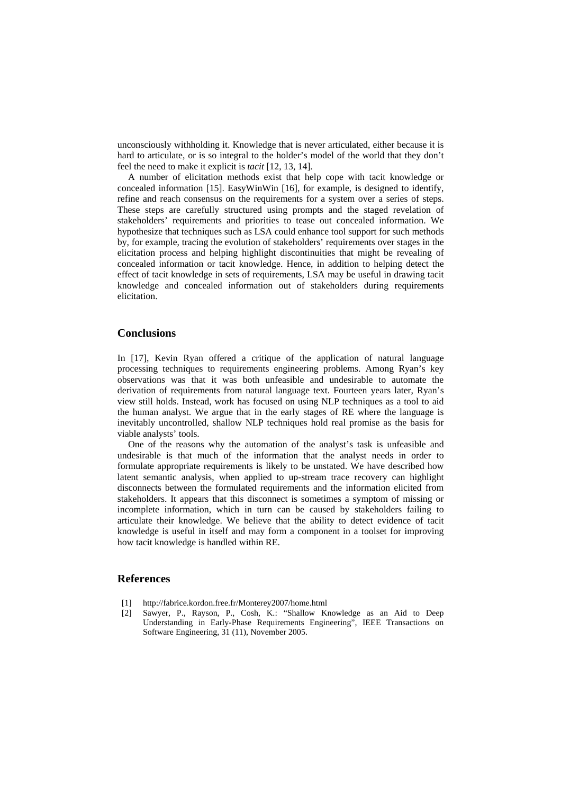unconsciously withholding it. Knowledge that is never articulated, either because it is hard to articulate, or is so integral to the holder's model of the world that they don't feel the need to make it explicit is *tacit* [12, 13, 14].

A number of elicitation methods exist that help cope with tacit knowledge or concealed information [15]. EasyWinWin [16], for example, is designed to identify, refine and reach consensus on the requirements for a system over a series of steps. These steps are carefully structured using prompts and the staged revelation of stakeholders' requirements and priorities to tease out concealed information. We hypothesize that techniques such as LSA could enhance tool support for such methods by, for example, tracing the evolution of stakeholders' requirements over stages in the elicitation process and helping highlight discontinuities that might be revealing of concealed information or tacit knowledge. Hence, in addition to helping detect the effect of tacit knowledge in sets of requirements, LSA may be useful in drawing tacit knowledge and concealed information out of stakeholders during requirements elicitation.

### **Conclusions**

In [17], Kevin Ryan offered a critique of the application of natural language processing techniques to requirements engineering problems. Among Ryan's key observations was that it was both unfeasible and undesirable to automate the derivation of requirements from natural language text. Fourteen years later, Ryan's view still holds. Instead, work has focused on using NLP techniques as a tool to aid the human analyst. We argue that in the early stages of RE where the language is inevitably uncontrolled, shallow NLP techniques hold real promise as the basis for viable analysts' tools.

One of the reasons why the automation of the analyst's task is unfeasible and undesirable is that much of the information that the analyst needs in order to formulate appropriate requirements is likely to be unstated. We have described how latent semantic analysis, when applied to up-stream trace recovery can highlight disconnects between the formulated requirements and the information elicited from stakeholders. It appears that this disconnect is sometimes a symptom of missing or incomplete information, which in turn can be caused by stakeholders failing to articulate their knowledge. We believe that the ability to detect evidence of tacit knowledge is useful in itself and may form a component in a toolset for improving how tacit knowledge is handled within RE.

### **References**

- [1] http://fabrice.kordon.free.fr/Monterey2007/home.html
- Sawyer, P., Rayson, P., Cosh, K.: "Shallow Knowledge as an Aid to Deep Understanding in Early-Phase Requirements Engineering", IEEE Transactions on Software Engineering, 31 (11), November 2005.